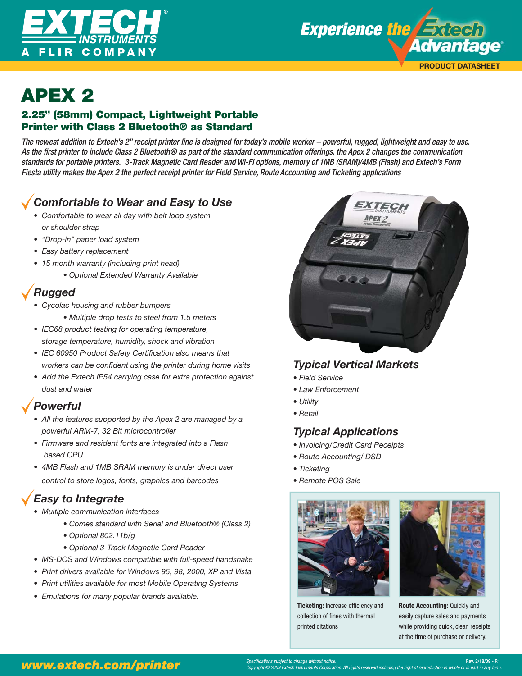



## APEX 2<br>2.25" (58mm) Compact, Lightweight Portable Printer with Class 2 Bluetooth® as Standard

The newest addition to Extech's 2" receipt printer line is designed for today's mobile worker – powerful, rugged, lightweight and easy to use. As the first printer to include Class 2 Bluetooth® as part of the standard communication offerings, the Apex 2 changes the communication standards for portable printers. 3-Track Magnetic Card Reader and Wi-Fi options, memory of 1MB (SRAM)/4MB (Flash) and Extech's Form Fiesta utility makes the Apex 2 the perfect receipt printer for Field Service, Route Accounting and Ticketing applications

### *Comfortable to Wear and Easy to Use*

- *Comfortable to wear all day with belt loop system or shoulder strap*
- *"Drop-in" paper load system*
- *Easy battery replacement*
- *15 month warranty (including print head)*
	- *Optional Extended Warranty Available*

### *Rugged*

- *Cycolac housing and rubber bumpers* 
	- *Multiple drop tests to steel from 1.5 meters*
- *IEC68 product testing for operating temperature, storage temperature, humidity, shock and vibration*
- IEC 60950 Product Safety Certification also means that workers can be confident using the printer during home visits
- *Add the Extech IP54 carrying case for extra protection against dust and water*

### *Powerful*

- *All the features supported by the Apex 2 are managed by a powerful ARM-7, 32 Bit microcontroller*
- *Firmware and resident fonts are integrated into a Flash based CPU*
- *4MB Flash and 1MB SRAM memory is under direct user control to store logos, fonts, graphics and barcodes*

## *Easy to Integrate*

- *Multiple communication interfaces* 
	- *Comes standard with Serial and Bluetooth® (Class 2)*
	- *Optional 802.11b/g*
	- *Optional 3-Track Magnetic Card Reader*
- *MS-DOS and Windows compatible with full-speed handshake*
- *Print drivers available for Windows 95, 98, 2000, XP and Vista*
- *Print utilities available for most Mobile Operating Systems*
- *Emulations for many popular brands available.*



### *Typical Vertical Markets*

- *Field Service*
- *Law Enforcement*
- *Utility*
- *Retail*

### *Typical Applications*

- *Invoicing/Credit Card Receipts*
- *Route Accounting/ DSD*
- *Ticketing*
- *Remote POS Sale*



**Ticketing:** Increase efficiency and collection of fines with thermal printed citations



**Route Accounting:** Quickly and easily capture sales and payments while providing quick, clean receipts at the time of purchase or delivery.

### **www.extech.com/printer** Specifications subject to change without notice